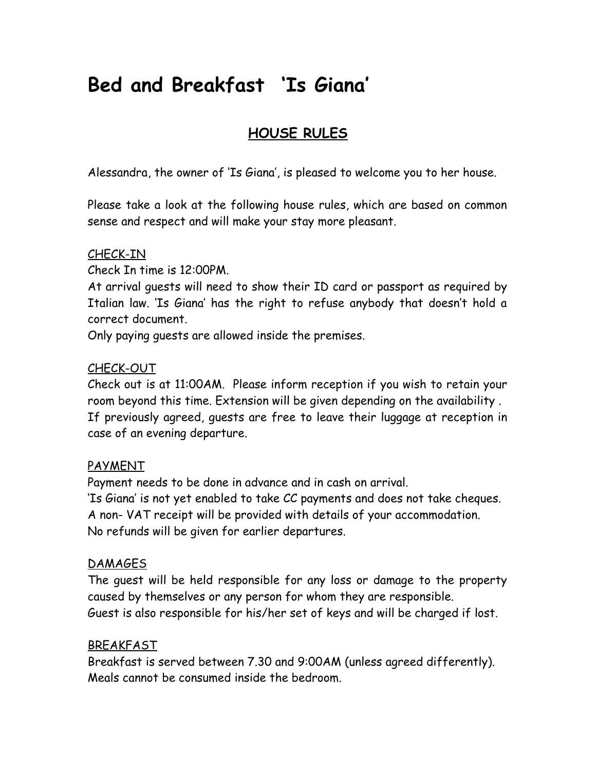# **Bed and Breakfast 'Is Giana'**

# **HOUSE RULES**

Alessandra, the owner of 'Is Giana', is pleased to welcome you to her house.

Please take a look at the following house rules, which are based on common sense and respect and will make your stay more pleasant.

#### CHECK-IN

Check In time is 12:00PM.

At arrival guests will need to show their ID card or passport as required by Italian law. 'Is Giana' has the right to refuse anybody that doesn't hold a correct document.

Only paying guests are allowed inside the premises.

#### CHECK-OUT

Check out is at 11:00AM. Please inform reception if you wish to retain your room beyond this time. Extension will be given depending on the availability . If previously agreed, guests are free to leave their luggage at reception in case of an evening departure.

#### PAYMENT

Payment needs to be done in advance and in cash on arrival. 'Is Giana' is not yet enabled to take CC payments and does not take cheques. A non- VAT receipt will be provided with details of your accommodation. No refunds will be given for earlier departures.

## **DAMAGES**

The guest will be held responsible for any loss or damage to the property caused by themselves or any person for whom they are responsible. Guest is also responsible for his/her set of keys and will be charged if lost.

#### BREAKFAST

Breakfast is served between 7.30 and 9:00AM (unless agreed differently). Meals cannot be consumed inside the bedroom.